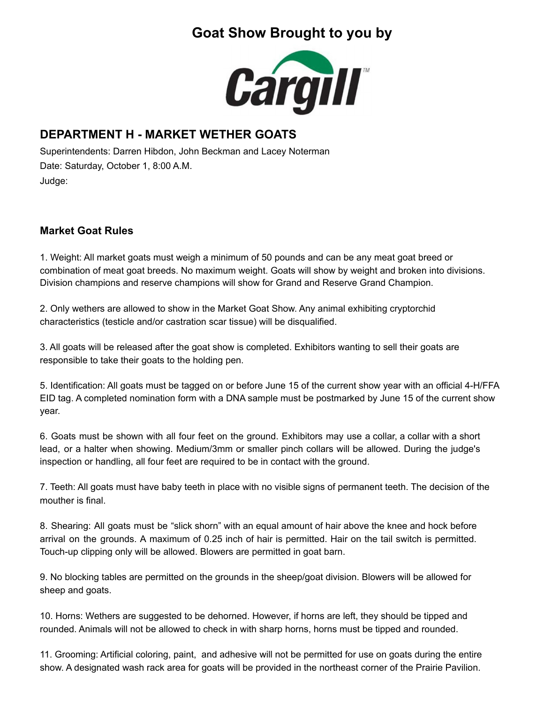# **Goat Show Brought to you by**



### **DEPARTMENT H - MARKET WETHER GOATS**

Superintendents: Darren Hibdon, John Beckman and Lacey Noterman Date: Saturday, October 1, 8:00 A.M. Judge:

### **Market Goat Rules**

1. Weight: All market goats must weigh a minimum of 50 pounds and can be any meat goat breed or combination of meat goat breeds. No maximum weight. Goats will show by weight and broken into divisions. Division champions and reserve champions will show for Grand and Reserve Grand Champion.

2. Only wethers are allowed to show in the Market Goat Show. Any animal exhibiting cryptorchid characteristics (testicle and/or castration scar tissue) will be disqualified.

3. All goats will be released after the goat show is completed. Exhibitors wanting to sell their goats are responsible to take their goats to the holding pen.

5. Identification: All goats must be tagged on or before June 15 of the current show year with an official 4-H/FFA EID tag. A completed nomination form with a DNA sample must be postmarked by June 15 of the current show year.

6. Goats must be shown with all four feet on the ground. Exhibitors may use a collar, a collar with a short lead, or a halter when showing. Medium/3mm or smaller pinch collars will be allowed. During the judge's inspection or handling, all four feet are required to be in contact with the ground.

7. Teeth: All goats must have baby teeth in place with no visible signs of permanent teeth. The decision of the mouther is final.

8. Shearing: All goats must be "slick shorn" with an equal amount of hair above the knee and hock before arrival on the grounds. A maximum of 0.25 inch of hair is permitted. Hair on the tail switch is permitted. Touch-up clipping only will be allowed. Blowers are permitted in goat barn.

9. No blocking tables are permitted on the grounds in the sheep/goat division. Blowers will be allowed for sheep and goats.

10. Horns: Wethers are suggested to be dehorned. However, if horns are left, they should be tipped and rounded. Animals will not be allowed to check in with sharp horns, horns must be tipped and rounded.

11. Grooming: Artificial coloring, paint, and adhesive will not be permitted for use on goats during the entire show. A designated wash rack area for goats will be provided in the northeast corner of the Prairie Pavilion.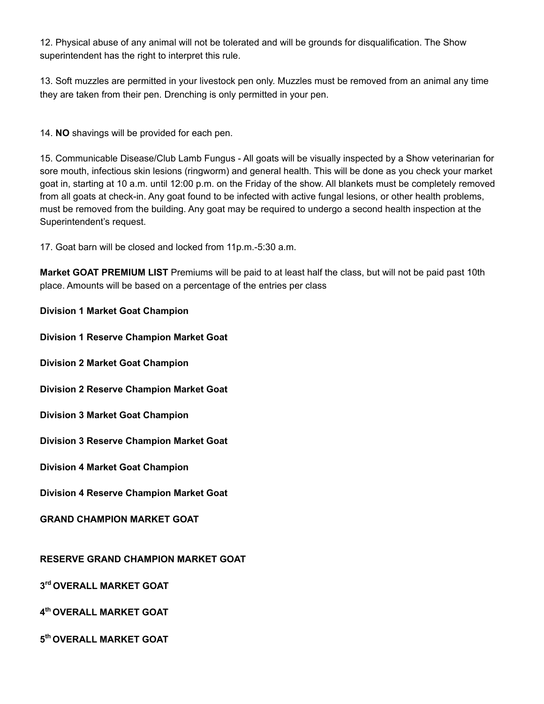12. Physical abuse of any animal will not be tolerated and will be grounds for disqualification. The Show superintendent has the right to interpret this rule.

13. Soft muzzles are permitted in your livestock pen only. Muzzles must be removed from an animal any time they are taken from their pen. Drenching is only permitted in your pen.

14. **NO** shavings will be provided for each pen.

15. Communicable Disease/Club Lamb Fungus - All goats will be visually inspected by a Show veterinarian for sore mouth, infectious skin lesions (ringworm) and general health. This will be done as you check your market goat in, starting at 10 a.m. until 12:00 p.m. on the Friday of the show. All blankets must be completely removed from all goats at check-in. Any goat found to be infected with active fungal lesions, or other health problems, must be removed from the building. Any goat may be required to undergo a second health inspection at the Superintendent's request.

17. Goat barn will be closed and locked from 11p.m.-5:30 a.m.

**Market GOAT PREMIUM LIST** Premiums will be paid to at least half the class, but will not be paid past 10th place. Amounts will be based on a percentage of the entries per class

**Division 1 Market Goat Champion**

**Division 1 Reserve Champion Market Goat**

**Division 2 Market Goat Champion**

**Division 2 Reserve Champion Market Goat**

**Division 3 Market Goat Champion**

**Division 3 Reserve Champion Market Goat**

**Division 4 Market Goat Champion**

**Division 4 Reserve Champion Market Goat**

**GRAND CHAMPION MARKET GOAT**

**RESERVE GRAND CHAMPION MARKET GOAT**

**3 rd OVERALL MARKET GOAT**

**4 th OVERALL MARKET GOAT**

**5 th OVERALL MARKET GOAT**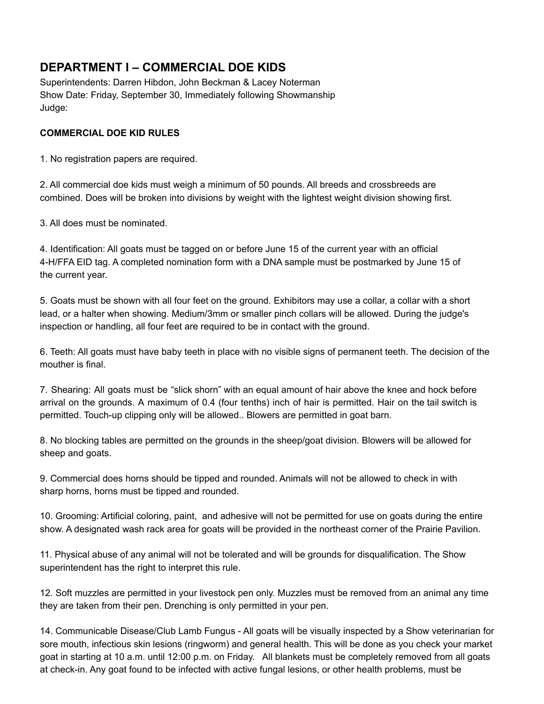## **DEPARTMENT I – COMMERCIAL DOE KIDS**

Superintendents: Darren Hibdon, John Beckman & Lacey Noterman Show Date: Friday, September 30, Immediately following Showmanship Judge:

#### **COMMERCIAL DOE KID RULES**

1. No registration papers are required.

2. All commercial doe kids must weigh a minimum of 50 pounds. All breeds and crossbreeds are combined. Does will be broken into divisions by weight with the lightest weight division showing first.

3. All does must be nominated.

4. Identification: All goats must be tagged on or before June 15 of the current year with an official 4-H/FFA EID tag. A completed nomination form with a DNA sample must be postmarked by June 15 of the current year.

5. Goats must be shown with all four feet on the ground. Exhibitors may use a collar, a collar with a short lead, or a halter when showing. Medium/3mm or smaller pinch collars will be allowed. During the judge's inspection or handling, all four feet are required to be in contact with the ground.

6. Teeth: All goats must have baby teeth in place with no visible signs of permanent teeth. The decision of the mouther is final.

7. Shearing: All goats must be "slick shorn" with an equal amount of hair above the knee and hock before arrival on the grounds. A maximum of 0.4 (four tenths) inch of hair is permitted. Hair on the tail switch is permitted. Touch-up clipping only will be allowed.. Blowers are permitted in goat barn.

8. No blocking tables are permitted on the grounds in the sheep/goat division. Blowers will be allowed for sheep and goats.

9. Commercial does horns should be tipped and rounded. Animals will not be allowed to check in with sharp horns, horns must be tipped and rounded.

10. Grooming: Artificial coloring, paint, and adhesive will not be permitted for use on goats during the entire show. A designated wash rack area for goats will be provided in the northeast corner of the Prairie Pavilion.

11. Physical abuse of any animal will not be tolerated and will be grounds for disqualification. The Show superintendent has the right to interpret this rule.

12. Soft muzzles are permitted in your livestock pen only. Muzzles must be removed from an animal any time they are taken from their pen. Drenching is only permitted in your pen.

14. Communicable Disease/Club Lamb Fungus - All goats will be visually inspected by a Show veterinarian for sore mouth, infectious skin lesions (ringworm) and general health. This will be done as you check your market goat in starting at 10 a.m. until 12:00 p.m. on Friday. All blankets must be completely removed from all goats at check-in. Any goat found to be infected with active fungal lesions, or other health problems, must be